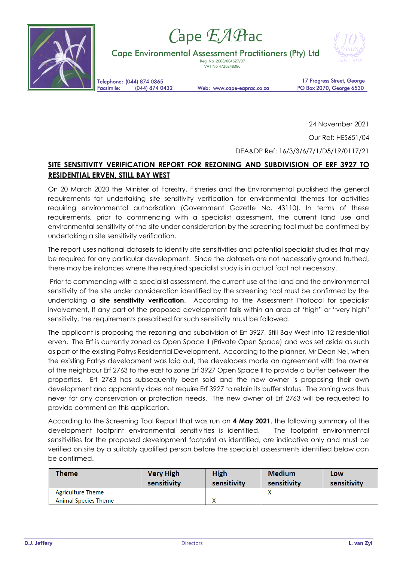

# *C*ape *EAP*rac

Cape Environmental Assessment Practitioners (Pty) Ltd

Reg. No. 2008/004627/07 VAT No 4720248386



Telephone: (044) 874 0365<br>Facsimile: (044) 874 0432

Web: www.cape-eaprac.co.za

17 Progress Street, George PO Box 2070, George 6530

24 November 2021

Our Ref: HES651/04

DEA&DP Ref: 16/3/3/6/7/1/D5/19/0117/21

# **SITE SENSITIVITY VERIFICATION REPORT FOR REZONING AND SUBDIVISION OF ERF 3927 TO RESIDENTIAL ERVEN, STILL BAY WEST**

On 20 March 2020 the Minister of Forestry, Fisheries and the Environmental published the general requirements for undertaking site sensitivity verification for environmental themes for activities requiring environmental authorisation (Government Gazette No. 43110). In terms of these requirements, prior to commencing with a specialist assessment, the current land use and environmental sensitivity of the site under consideration by the screening tool must be confirmed by undertaking a site sensitivity verification.

The report uses national datasets to identify site sensitivities and potential specialist studies that may be required for any particular development. Since the datasets are not necessarily ground truthed, there may be instances where the required specialist study is in actual fact not necessary.

Prior to commencing with a specialist assessment, the current use of the land and the environmental sensitivity of the site under consideration identified by the screening tool must be confirmed by the undertaking a **site sensitivity verification**. According to the Assessment Protocol for specialist involvement, If any part of the proposed development falls within an area of 'high" or "very high" sensitivity, the requirements prescribed for such sensitivity must be followed.

The applicant is proposing the rezoning and subdivision of Erf 3927, Still Bay West into 12 residential erven. The Erf is currently zoned as Open Space II (Private Open Space) and was set aside as such as part of the existing Patrys Residential Development. According to the planner, Mr Deon Nel, when the existing Patrys development was laid out, the developers made an agreement with the owner of the neighbour Erf 2763 to the east to zone Erf 3927 Open Space II to provide a buffer between the properties. Erf 2763 has subsequently been sold and the new owner is proposing their own development and apparently does not require Erf 3927 to retain its buffer status. The zoning was thus never for any conservation or protection needs. The new owner of Erf 2763 will be requested to provide comment on this application.

According to the Screening Tool Report that was run on **4 May 2021**, the following summary of the development footprint environmental sensitivities is identified. The footprint environmental sensitivities for the proposed development footprint as identified, are indicative only and must be verified on site by a suitably qualified person before the specialist assessments identified below can be confirmed.

| Theme                       | <b>Very High</b><br>sensitivity | <b>High</b><br>sensitivity | <b>Medium</b><br>sensitivity | Low<br>sensitivity |
|-----------------------------|---------------------------------|----------------------------|------------------------------|--------------------|
| <b>Agriculture Theme</b>    |                                 |                            |                              |                    |
| <b>Animal Species Theme</b> |                                 |                            |                              |                    |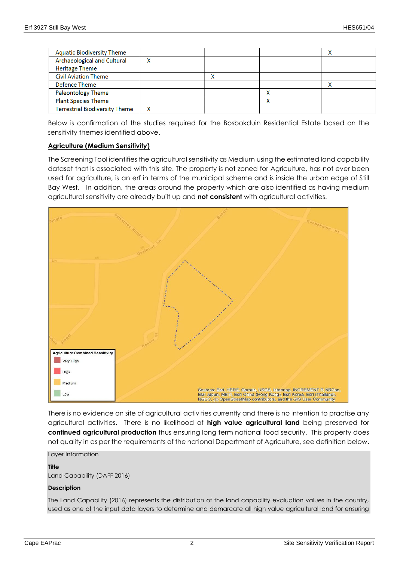| <b>Aquatic Biodiversity Theme</b>     |  |   |  |
|---------------------------------------|--|---|--|
| Archaeological and Cultural           |  |   |  |
| <b>Heritage Theme</b>                 |  |   |  |
| <b>Civil Aviation Theme</b>           |  |   |  |
| Defence Theme                         |  |   |  |
| <b>Paleontology Theme</b>             |  |   |  |
| <b>Plant Species Theme</b>            |  | v |  |
| <b>Terrestrial Biodiversity Theme</b> |  |   |  |

Below is confirmation of the studies required for the Bosbokduin Residential Estate based on the sensitivity themes identified above.

#### **Agriculture (Medium Sensitivity)**

The Screening Tool identifies the agricultural sensitivity as Medium using the estimated land capability dataset that is associated with this site. The property is not zoned for Agriculture, has not ever been used for agriculture, is an erf in terms of the municipal scheme and is inside the urban edge of Still Bay West. In addition, the areas around the property which are also identified as having medium agricultural sensitivity are already built up and **not consistent** with agricultural activities.



There is no evidence on site of agricultural activities currently and there is no intention to practise any agricultural activities. There is no likelihood of **high value agricultural land** being preserved for **continued agricultural production** thus ensuring long term national food security. This property does not quality in as per the requirements of the national Department of Agriculture, see definition below.

Layer Information

#### **Title**

Land Capability (DAFF 2016)

#### **Description**

The Land Capability (2016) represents the distribution of the land capability evaluation values in the country, used as one of the input data layers to determine and demarcate all high value agricultural land for ensuring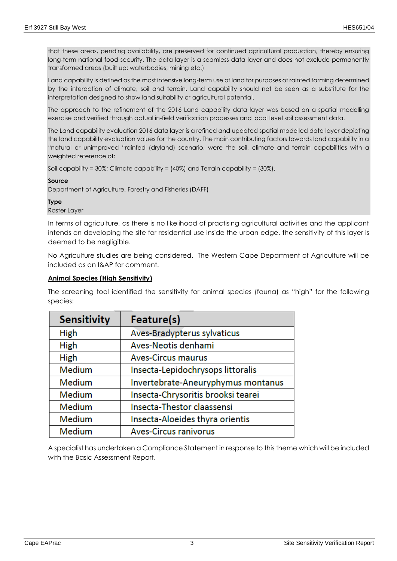that these areas, pending availability, are preserved for continued agricultural production, thereby ensuring long-term national food security. The data layer is a seamless data layer and does not exclude permanently transformed areas (built up; waterbodies; mining etc.)

Land capability is defined as the most intensive long-term use of land for purposes of rainfed farming determined by the interaction of climate, soil and terrain. Land capability should not be seen as a substitute for the interpretation designed to show land suitability or agricultural potential.

The approach to the refinement of the 2016 Land capability data layer was based on a spatial modelling exercise and verified through actual in-field verification processes and local level soil assessment data.

The Land capability evaluation 2016 data layer is a refined and updated spatial modelled data layer depicting the land capability evaluation values for the country. The main contributing factors towards land capability in a "natural or unimproved "rainfed (dryland) scenario, were the soil, climate and terrain capabilities with a weighted reference of:

```
Soil capability = 30%; Climate capability = (40%) and Terrain capability = (30%).
```
#### **Source**

Department of Agriculture, Forestry and Fisheries (DAFF)

#### **Type**

Raster Layer

In terms of agriculture, as there is no likelihood of practising agricultural activities and the applicant intends on developing the site for residential use inside the urban edge, the sensitivity of this layer is deemed to be negligible.

No Agriculture studies are being considered. The Western Cape Department of Agriculture will be included as an I&AP for comment.

#### **Animal Species (High Sensitivity)**

The screening tool identified the sensitivity for animal species (fauna) as "high" for the following species:

| <b>Sensitivity</b> | Feature(s)                         |  |
|--------------------|------------------------------------|--|
| <b>High</b>        | Aves-Bradypterus sylvaticus        |  |
| <b>High</b>        | Aves-Neotis denhami                |  |
| <b>High</b>        | <b>Aves-Circus maurus</b>          |  |
| <b>Medium</b>      | Insecta-Lepidochrysops littoralis  |  |
| <b>Medium</b>      | Invertebrate-Aneuryphymus montanus |  |
| <b>Medium</b>      | Insecta-Chrysoritis brooksi tearei |  |
| <b>Medium</b>      | Insecta-Thestor claassensi         |  |
| Medium             | Insecta-Aloeides thyra orientis    |  |
| Medium             | <b>Aves-Circus ranivorus</b>       |  |

A specialist has undertaken a Compliance Statement in response to this theme which will be included with the Basic Assessment Report.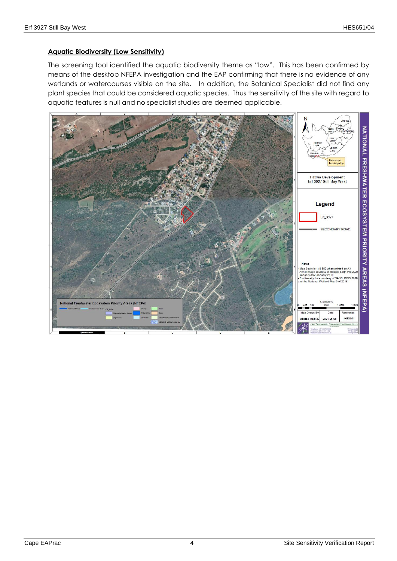#### **Aquatic Biodiversity (Low Sensitivity)**

The screening tool identified the aquatic biodiversity theme as "low". This has been confirmed by means of the desktop NFEPA investigation and the EAP confirming that there is no evidence of any wetlands or watercourses visible on the site. In addition, the Botanical Specialist did not find any plant species that could be considered aquatic species. Thus the sensitivity of the site with regard to aquatic features is null and no specialist studies are deemed applicable.

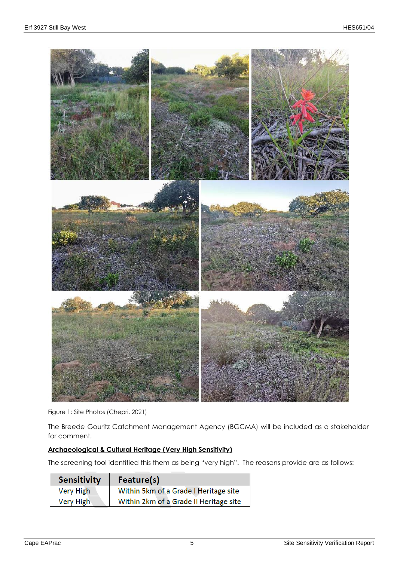

Figure 1: Site Photos (Chepri, 2021)

The Breede Gouritz Catchment Management Agency (BGCMA) will be included as a stakeholder for comment.

## **Archaeological & Cultural Heritage (Very High Sensitivity)**

The screening tool identified this them as being "very high". The reasons provide are as follows:

| <b>Sensitivity</b> | Feature(s)                             |
|--------------------|----------------------------------------|
| Very High          | Within 5km of a Grade I Heritage site  |
| Very High          | Within 2km of a Grade II Heritage site |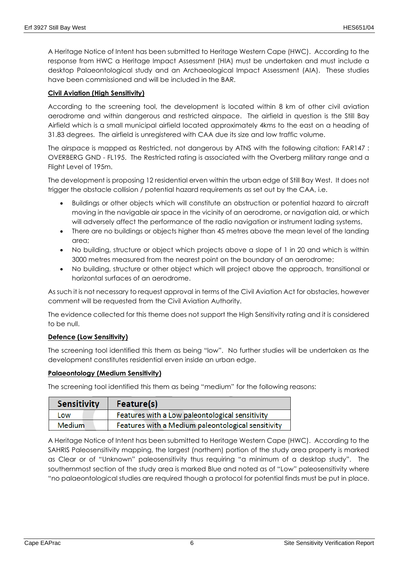A Heritage Notice of Intent has been submitted to Heritage Western Cape (HWC). According to the response from HWC a Heritage Impact Assessment (HIA) must be undertaken and must include a desktop Palaeontological study and an Archaeological Impact Assessment (AIA). These studies have been commissioned and will be included in the BAR.

## **Civil Aviation (High Sensitivity)**

According to the screening tool, the development is located within 8 km of other civil aviation aerodrome and within dangerous and restricted airspace. The airfield in question is the Still Bay Airfield which is a small municipal airfield located approximately 4kms to the east on a heading of 31.83 degrees. The airfield is unregistered with CAA due its size and low traffic volume.

The airspace is mapped as Restricted, not dangerous by ATNS with the following citation: FAR147 : OVERBERG GND - FL195. The Restricted rating is associated with the Overberg military range and a Flight Level of 195m.

The development is proposing 12 residential erven within the urban edge of Still Bay West. It does not trigger the obstacle collision / potential hazard requirements as set out by the CAA, i.e.

- Buildings or other objects which will constitute an obstruction or potential hazard to aircraft moving in the navigable air space in the vicinity of an aerodrome, or navigation aid, or which will adversely affect the performance of the radio navigation or instrument lading systems,
- There are no buildings or objects higher than 45 metres above the mean level of the landing area;
- No building, structure or object which projects above a slope of 1 in 20 and which is within 3000 metres measured from the nearest point on the boundary of an aerodrome;
- No building, structure or other object which will project above the approach, transitional or horizontal surfaces of an aerodrome.

As such it is not necessary to request approval in terms of the Civil Aviation Act for obstacles, however comment will be requested from the Civil Aviation Authority.

The evidence collected for this theme does not support the High Sensitivity rating and it is considered to be null.

#### **Defence (Low Sensitivity)**

The screening tool identified this them as being "low". No further studies will be undertaken as the development constitutes residential erven inside an urban edge.

#### **Palaeontology (Medium Sensitivity)**

The screening tool identified this them as being "medium" for the following reasons:

| <b>Sensitivity</b> | Feature(s)                                         |
|--------------------|----------------------------------------------------|
| Low                | Features with a Low paleontological sensitivity    |
| <b>Medium</b>      | Features with a Medium paleontological sensitivity |

A Heritage Notice of Intent has been submitted to Heritage Western Cape (HWC). According to the SAHRIS Paleosensitivity mapping, the largest (northern) portion of the study area property is marked as Clear or of "Unknown" paleosensitivity thus requiring "a minimum of a desktop study". The southernmost section of the study area is marked Blue and noted as of "Low" paleosensitivity where "no palaeontological studies are required though a protocol for potential finds must be put in place.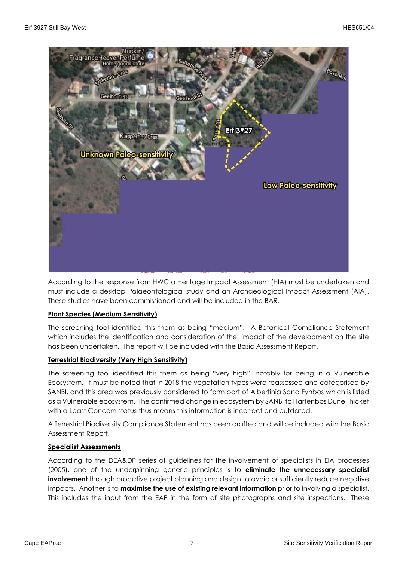

According to the response from HWC a Heritage Impact Assessment (HIA) must be undertaken and must include a desktop Palaeontological study and an Archaeological Impact Assessment (AIA). These studies have been commissioned and will be included in the BAR.

#### **Plant Species (Medium Sensitivity)**

The screening tool identified this them as being "medium". A Botanical Compliance Statement which includes the identification and consideration of the impact of the development on the site has been undertaken. The report will be included with the Basic Assessment Report.

#### **Terrestrial Biodiversity (Very High Sensitivity)**

The screening tool identified this them as being "very high", notably for being in a Vulnerable Ecosystem. It must be noted that in 2018 the vegetation types were reassessed and categorised by SANBI, and this area was previously considered to form part of Albertinia Sand Fynbos which is listed as a Vulnerable ecosystem. The confirmed change in ecosystem by SANBI to Hartenbos Dune Thicket with a Least Concern status thus means this information is incorrect and outdated.

A Terrestrial Biodiversity Compliance Statement has been drafted and will be included with the Basic Assessment Report.

#### **Specialist Assessments**

According to the DEA&DP series of guidelines for the involvement of specialists in EIA processes (2005), one of the underpinning generic principles is to **eliminate the unnecessary specialist involvement** through proactive project planning and design to avoid or sufficiently reduce negative impacts. Another is to **maximise the use of existing relevant information** prior to involving a specialist. This includes the input from the EAP in the form of site photographs and site inspections. These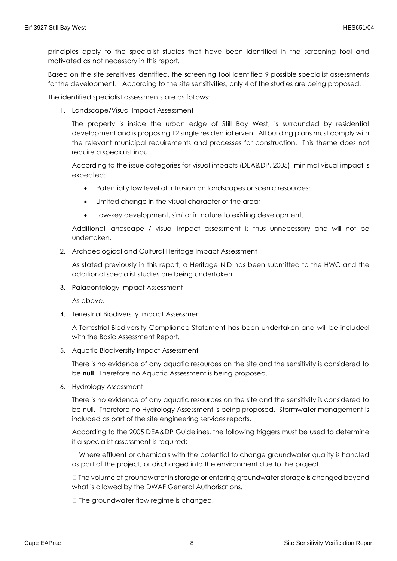principles apply to the specialist studies that have been identified in the screening tool and motivated as not necessary in this report.

Based on the site sensitives identified, the screening tool identified 9 possible specialist assessments for the development. According to the site sensitivities, only 4 of the studies are being proposed.

The identified specialist assessments are as follows:

1. Landscape/Visual Impact Assessment

The property is inside the urban edge of Still Bay West, is surrounded by residential development and is proposing 12 single residential erven. All building plans must comply with the relevant municipal requirements and processes for construction. This theme does not require a specialist input.

According to the issue categories for visual impacts (DEA&DP, 2005), minimal visual impact is expected:

- Potentially low level of intrusion on landscapes or scenic resources:
- Limited change in the visual character of the area;
- Low-key development, similar in nature to existing development.

Additional landscape / visual impact assessment is thus unnecessary and will not be undertaken.

2. Archaeological and Cultural Heritage Impact Assessment

As stated previously in this report, a Heritage NID has been submitted to the HWC and the additional specialist studies are being undertaken.

3. Palaeontology Impact Assessment

As above.

4. Terrestrial Biodiversity Impact Assessment

A Terrestrial Biodiversity Compliance Statement has been undertaken and will be included with the Basic Assessment Report.

5. Aquatic Biodiversity Impact Assessment

There is no evidence of any aquatic resources on the site and the sensitivity is considered to be **null**. Therefore no Aquatic Assessment is being proposed.

6. Hydrology Assessment

There is no evidence of any aquatic resources on the site and the sensitivity is considered to be null. Therefore no Hydrology Assessment is being proposed. Stormwater management is included as part of the site engineering services reports.

According to the 2005 DEA&DP Guidelines, the following triggers must be used to determine if a specialist assessment is required:

 Where effluent or chemicals with the potential to change groundwater quality is handled as part of the project, or discharged into the environment due to the project.

 The volume of groundwater in storage or entering groundwater storage is changed beyond what is allowed by the DWAF General Authorisations.

 $\Box$  The groundwater flow regime is changed.